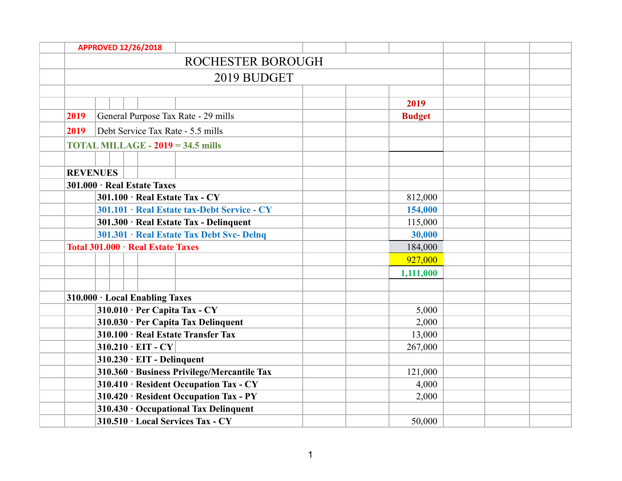|      | <b>APPROVED 12/26/2018</b>                            |                                             |               |  |  |
|------|-------------------------------------------------------|---------------------------------------------|---------------|--|--|
|      |                                                       | <b>ROCHESTER BOROUGH</b>                    |               |  |  |
|      |                                                       | 2019 BUDGET                                 |               |  |  |
|      |                                                       |                                             |               |  |  |
|      |                                                       |                                             | 2019          |  |  |
| 2019 | General Purpose Tax Rate - 29 mills                   |                                             | <b>Budget</b> |  |  |
| 2019 | Debt Service Tax Rate - 5.5 mills                     |                                             |               |  |  |
|      | <b>TOTAL MILLAGE - <math>2019 = 34.5</math> mills</b> |                                             |               |  |  |
|      |                                                       |                                             |               |  |  |
|      | <b>REVENUES</b>                                       |                                             |               |  |  |
|      | 301.000 · Real Estate Taxes                           |                                             |               |  |  |
|      | 301.100 · Real Estate Tax - CY                        |                                             | 812,000       |  |  |
|      |                                                       | 301.101 · Real Estate tax-Debt Service - CY | 154,000       |  |  |
|      | 301.300 · Real Estate Tax - Delinquent                |                                             | 115,000       |  |  |
|      |                                                       | 301.301 · Real Estate Tax Debt Svc- Delnq   | 30,000        |  |  |
|      | Total 301.000 · Real Estate Taxes                     |                                             | 184,000       |  |  |
|      |                                                       |                                             | 927,000       |  |  |
|      |                                                       |                                             | 1,111,000     |  |  |
|      |                                                       |                                             |               |  |  |
|      | 310.000 · Local Enabling Taxes                        |                                             |               |  |  |
|      | $310.010 \cdot Per$ Capita Tax - CY                   |                                             | 5,000         |  |  |
|      | 310.030 · Per Capita Tax Delinquent                   |                                             | 2,000         |  |  |
|      | 310.100 · Real Estate Transfer Tax                    |                                             | 13,000        |  |  |
|      | $310.210 \cdot EIT - CY$                              |                                             | 267,000       |  |  |
|      | $310.230 \cdot EIT$ - Delinquent                      |                                             |               |  |  |
|      |                                                       | 310.360 · Business Privilege/Mercantile Tax | 121,000       |  |  |
|      |                                                       | 310.410 · Resident Occupation Tax - CY      | 4,000         |  |  |
|      |                                                       | 310.420 · Resident Occupation Tax - PY      | 2,000         |  |  |
|      | 310.430 · Occupational Tax Delinquent                 |                                             |               |  |  |
|      | 310.510 · Local Services Tax - CY                     |                                             | 50,000        |  |  |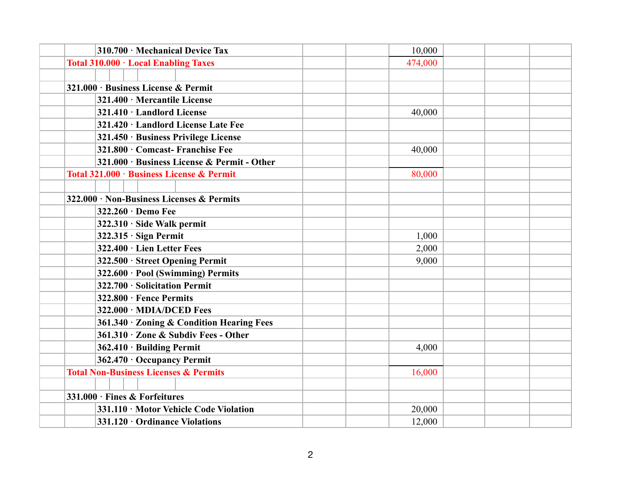| 310.700 · Mechanical Device Tax                  | 10,000  |  |
|--------------------------------------------------|---------|--|
| Total 310.000 · Local Enabling Taxes             | 474,000 |  |
|                                                  |         |  |
| 321.000 · Business License & Permit              |         |  |
| 321.400 · Mercantile License                     |         |  |
| 321.410 · Landlord License                       | 40,000  |  |
| 321.420 · Landlord License Late Fee              |         |  |
| 321.450 · Business Privilege License             |         |  |
| 321.800 · Comcast- Franchise Fee                 | 40,000  |  |
| 321.000 · Business License & Permit - Other      |         |  |
| Total 321.000 · Business License & Permit        | 80,000  |  |
|                                                  |         |  |
| 322.000 · Non-Business Licenses & Permits        |         |  |
| 322.260 · Demo Fee                               |         |  |
| 322.310 · Side Walk permit                       |         |  |
| $322.315 \cdot$ Sign Permit                      | 1,000   |  |
| 322.400 · Lien Letter Fees                       | 2,000   |  |
| 322.500 · Street Opening Permit                  | 9,000   |  |
| 322.600 · Pool (Swimming) Permits                |         |  |
| 322.700 · Solicitation Permit                    |         |  |
| 322.800 · Fence Permits                          |         |  |
| 322.000 · MDIA/DCED Fees                         |         |  |
| 361.340 · Zoning & Condition Hearing Fees        |         |  |
| 361.310 · Zone & Subdiv Fees - Other             |         |  |
| 362.410 · Building Permit                        | 4,000   |  |
| 362.470 · Occupancy Permit                       |         |  |
| <b>Total Non-Business Licenses &amp; Permits</b> | 16,000  |  |
|                                                  |         |  |
| 331.000 · Fines & Forfeitures                    |         |  |
| 331.110 · Motor Vehicle Code Violation           | 20,000  |  |
| 331.120 · Ordinance Violations                   | 12,000  |  |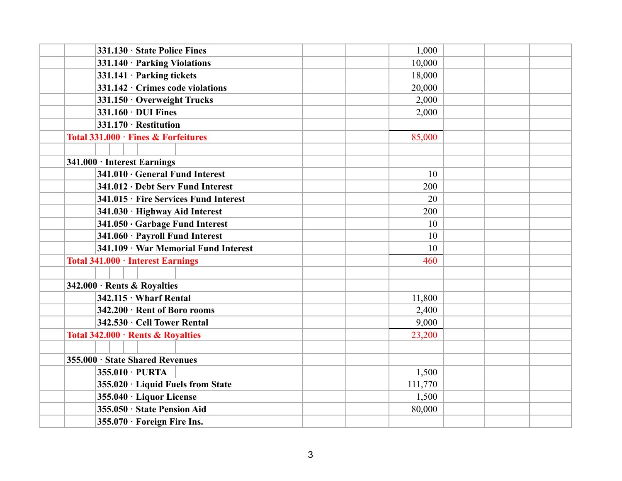| 331.130 · State Police Fines          | 1,000   |  |
|---------------------------------------|---------|--|
| 331.140 · Parking Violations          | 10,000  |  |
| 331.141 · Parking tickets             | 18,000  |  |
| 331.142 · Crimes code violations      | 20,000  |  |
| 331.150 · Overweight Trucks           | 2,000   |  |
| $331.160 \cdot DUI$ Fines             | 2,000   |  |
| 331.170 · Restitution                 |         |  |
| Total 331.000 · Fines & Forfeitures   | 85,000  |  |
|                                       |         |  |
| 341.000 · Interest Earnings           |         |  |
| 341.010 · General Fund Interest       | 10      |  |
| 341.012 · Debt Serv Fund Interest     | 200     |  |
| 341.015 · Fire Services Fund Interest | 20      |  |
| 341.030 · Highway Aid Interest        | 200     |  |
| 341.050 · Garbage Fund Interest       | 10      |  |
| 341.060 · Payroll Fund Interest       | 10      |  |
| 341.109 · War Memorial Fund Interest  | 10      |  |
| Total 341.000 · Interest Earnings     | 460     |  |
|                                       |         |  |
| 342.000 · Rents & Royalties           |         |  |
| $342.115 \cdot$ Wharf Rental          | 11,800  |  |
| 342.200 · Rent of Boro rooms          | 2,400   |  |
| 342.530 · Cell Tower Rental           | 9,000   |  |
| Total 342.000 · Rents & Royalties     | 23,200  |  |
|                                       |         |  |
| 355.000 · State Shared Revenues       |         |  |
| 355.010 · PURTA                       | 1,500   |  |
| 355.020 · Liquid Fuels from State     | 111,770 |  |
| 355.040 · Liquor License              | 1,500   |  |
| 355.050 · State Pension Aid           | 80,000  |  |
| $355.070 \cdot$ Foreign Fire Ins.     |         |  |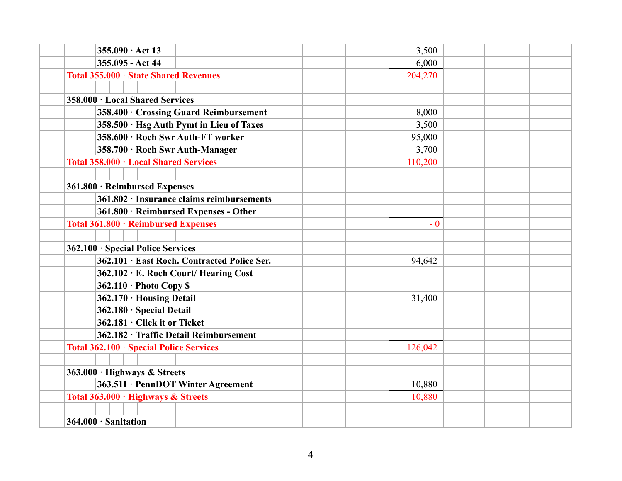| $355.090 \cdot \text{Act} 13$                   | 3,500   |  |
|-------------------------------------------------|---------|--|
| 355.095 - Act 44                                | 6,000   |  |
| Total 355.000 · State Shared Revenues           | 204,270 |  |
|                                                 |         |  |
| 358.000 · Local Shared Services                 |         |  |
| 358.400 Crossing Guard Reimbursement            | 8,000   |  |
| 358.500 · Hsg Auth Pymt in Lieu of Taxes        | 3,500   |  |
| 358.600 · Roch Swr Auth-FT worker               | 95,000  |  |
| 358.700 · Roch Swr Auth-Manager                 | 3,700   |  |
| Total 358.000 · Local Shared Services           | 110,200 |  |
|                                                 |         |  |
| 361.800 · Reimbursed Expenses                   |         |  |
| $361.802 \cdot$ Insurance claims reimbursements |         |  |
| 361.800 · Reimbursed Expenses - Other           |         |  |
| Total 361.800 · Reimbursed Expenses             | $-0$    |  |
|                                                 |         |  |
| 362.100 · Special Police Services               |         |  |
| 362.101 · East Roch. Contracted Police Ser.     | 94,642  |  |
| 362.102 · E. Roch Court/ Hearing Cost           |         |  |
| $362.110 \cdot$ Photo Copy \$                   |         |  |
| 362.170 · Housing Detail                        | 31,400  |  |
| 362.180 · Special Detail                        |         |  |
| 362.181 · Click it or Ticket                    |         |  |
| 362.182 · Traffic Detail Reimbursement          |         |  |
| Total 362.100 · Special Police Services         | 126,042 |  |
|                                                 |         |  |
| 363.000 · Highways & Streets                    |         |  |
| 363.511 · PennDOT Winter Agreement              | 10,880  |  |
| Total 363.000 · Highways & Streets              | 10,880  |  |
|                                                 |         |  |
| 364.000 · Sanitation                            |         |  |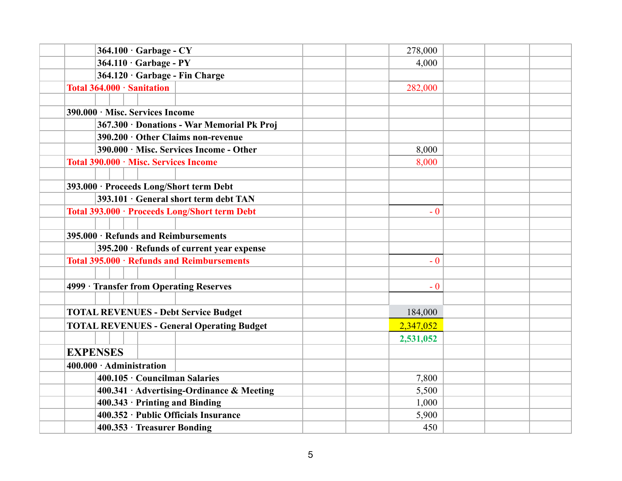| $364.100 \cdot$ Garbage - CY                     | 278,000   |
|--------------------------------------------------|-----------|
| $364.110 \cdot$ Garbage - PY                     | 4,000     |
| 364.120 · Garbage - Fin Charge                   |           |
| Total 364.000 · Sanitation                       | 282,000   |
|                                                  |           |
| 390.000 · Misc. Services Income                  |           |
| 367.300 · Donations - War Memorial Pk Proj       |           |
| $390.200 \cdot$ Other Claims non-revenue         |           |
| 390.000 · Misc. Services Income - Other          | 8,000     |
| Total 390.000 · Misc. Services Income            | 8,000     |
|                                                  |           |
| 393.000 · Proceeds Long/Short term Debt          |           |
| 393.101 · General short term debt TAN            |           |
| Total 393.000 · Proceeds Long/Short term Debt    | $-0$      |
|                                                  |           |
| 395.000 · Refunds and Reimbursements             |           |
| 395.200 · Refunds of current year expense        |           |
| Total 395.000 · Refunds and Reimbursements       | $-0$      |
|                                                  |           |
| 4999 · Transfer from Operating Reserves          | $-0$      |
|                                                  |           |
| <b>TOTAL REVENUES - Debt Service Budget</b>      | 184,000   |
| <b>TOTAL REVENUES - General Operating Budget</b> | 2,347,052 |
|                                                  | 2,531,052 |
| <b>EXPENSES</b>                                  |           |
| $400.000 \cdot$ Administration                   |           |
| 400.105 · Councilman Salaries                    | 7,800     |
| 400.341 · Advertising-Ordinance & Meeting        | 5,500     |
| $400.343 \cdot$ Printing and Binding             | 1,000     |
| 400.352 · Public Officials Insurance             | 5,900     |
| 400.353 · Treasurer Bonding                      | 450       |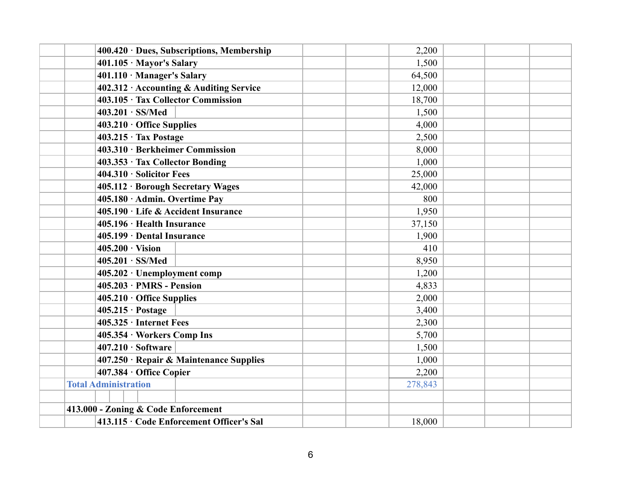| 400.420 · Dues, Subscriptions, Membership | 2,200   |  |
|-------------------------------------------|---------|--|
| $401.105 \cdot$ Mayor's Salary            | 1,500   |  |
| 401.110 · Manager's Salary                | 64,500  |  |
| 402.312 · Accounting & Auditing Service   | 12,000  |  |
| 403.105 · Tax Collector Commission        | 18,700  |  |
| $403.201 \cdot SS/Med$                    | 1,500   |  |
| $403.210 \cdot$ Office Supplies           | 4,000   |  |
| 403.215 · Tax Postage                     | 2,500   |  |
| 403.310 · Berkheimer Commission           | 8,000   |  |
| 403.353 · Tax Collector Bonding           | 1,000   |  |
| 404.310 · Solicitor Fees                  | 25,000  |  |
| 405.112 · Borough Secretary Wages         | 42,000  |  |
| 405.180 · Admin. Overtime Pay             | 800     |  |
| 405.190 · Life & Accident Insurance       | 1,950   |  |
| 405.196 · Health Insurance                | 37,150  |  |
| 405.199 · Dental Insurance                | 1,900   |  |
| $405.200 \cdot \text{Vision}$             | 410     |  |
| $405.201 \cdot SS/Med$                    | 8,950   |  |
| 405.202 · Unemployment comp               | 1,200   |  |
| $405.203 \cdot PMRS$ - Pension            | 4,833   |  |
| $405.210 \cdot$ Office Supplies           | 2,000   |  |
| $405.215 \cdot \text{Postage}$            | 3,400   |  |
| $405.325 \cdot$ Internet Fees             | 2,300   |  |
| 405.354 · Workers Comp Ins                | 5,700   |  |
| $407.210 \cdot Software$                  | 1,500   |  |
| 407.250 · Repair & Maintenance Supplies   | 1,000   |  |
| 407.384 · Office Copier                   | 2,200   |  |
| <b>Total Administration</b>               | 278,843 |  |
|                                           |         |  |
| 413.000 - Zoning & Code Enforcement       |         |  |
| 413.115 · Code Enforcement Officer's Sal  | 18,000  |  |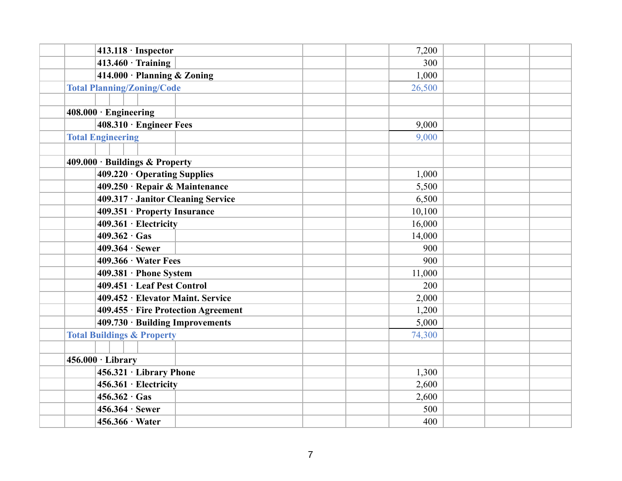| $413.118 \cdot$ Inspector             | 7,200  |  |
|---------------------------------------|--------|--|
| $413.460 \cdot$ Training              | 300    |  |
| 414.000 · Planning & Zoning           | 1,000  |  |
| <b>Total Planning/Zoning/Code</b>     | 26,500 |  |
|                                       |        |  |
| $408.000 \cdot$ Engineering           |        |  |
| 408.310 · Engineer Fees               | 9,000  |  |
| <b>Total Engineering</b>              | 9,000  |  |
|                                       |        |  |
| $409.000 \cdot$ Buildings & Property  |        |  |
| $409.220 \cdot$ Operating Supplies    | 1,000  |  |
| 409.250 · Repair & Maintenance        | 5,500  |  |
| 409.317 · Janitor Cleaning Service    | 6,500  |  |
| 409.351 · Property Insurance          | 10,100 |  |
| 409.361 · Electricity                 | 16,000 |  |
| $409.362 \cdot Gas$                   | 14,000 |  |
| $409.364 \cdot$ Sewer                 | 900    |  |
| $409.366 \cdot Water$ Fees            | 900    |  |
| 409.381 · Phone System                | 11,000 |  |
| 409.451 · Leaf Pest Control           | 200    |  |
| 409.452 · Elevator Maint. Service     | 2,000  |  |
| 409.455 · Fire Protection Agreement   | 1,200  |  |
| 409.730 · Building Improvements       | 5,000  |  |
| <b>Total Buildings &amp; Property</b> | 74,300 |  |
|                                       |        |  |
| $456.000 \cdot \text{Library}$        |        |  |
| 456.321 · Library Phone               | 1,300  |  |
| 456.361 · Electricity                 | 2,600  |  |
| $456.362 \cdot Gas$                   | 2,600  |  |
| $456.364 \cdot$ Sewer                 | 500    |  |
| $456.366 \cdot Water$                 | 400    |  |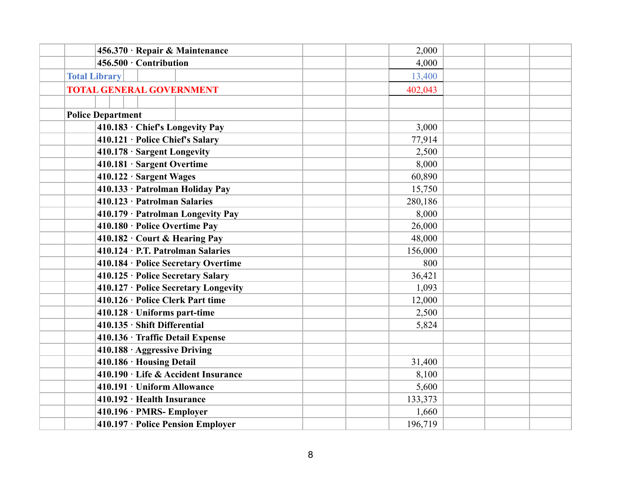| 456.370 · Repair & Maintenance       | 2,000   |  |
|--------------------------------------|---------|--|
| 456.500 · Contribution               | 4,000   |  |
| <b>Total Library</b>                 | 13,400  |  |
| <b>TOTAL GENERAL GOVERNMENT</b>      | 402,043 |  |
|                                      |         |  |
| <b>Police Department</b>             |         |  |
| 410.183 · Chief's Longevity Pay      | 3,000   |  |
| 410.121 · Police Chief's Salary      | 77,914  |  |
| 410.178 · Sargent Longevity          | 2,500   |  |
| 410.181 · Sargent Overtime           | 8,000   |  |
| 410.122 · Sargent Wages              | 60,890  |  |
| 410.133 · Patrolman Holiday Pay      | 15,750  |  |
| 410.123 · Patrolman Salaries         | 280,186 |  |
| 410.179 · Patrolman Longevity Pay    | 8,000   |  |
| 410.180 · Police Overtime Pay        | 26,000  |  |
| 410.182 · Court & Hearing Pay        | 48,000  |  |
| 410.124 · P.T. Patrolman Salaries    | 156,000 |  |
| 410.184 · Police Secretary Overtime  | 800     |  |
| 410.125 · Police Secretary Salary    | 36,421  |  |
| 410.127 · Police Secretary Longevity | 1,093   |  |
| 410.126 · Police Clerk Part time     | 12,000  |  |
| $410.128 \cdot$ Uniforms part-time   | 2,500   |  |
| 410.135 · Shift Differential         | 5,824   |  |
| 410.136 · Traffic Detail Expense     |         |  |
| 410.188 · Aggressive Driving         |         |  |
| 410.186 · Housing Detail             | 31,400  |  |
| 410.190 · Life & Accident Insurance  | 8,100   |  |
| 410.191 · Uniform Allowance          | 5,600   |  |
| 410.192 · Health Insurance           | 133,373 |  |
| 410.196 · PMRS- Employer             | 1,660   |  |
| 410.197 · Police Pension Employer    | 196,719 |  |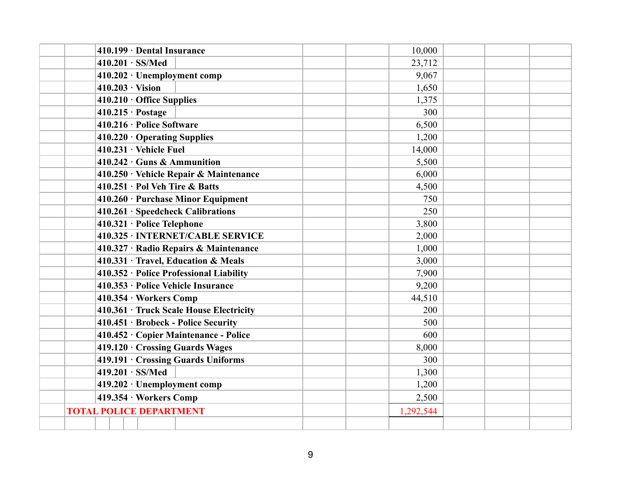| 410.199 · Dental Insurance                         | 10,000    |  |
|----------------------------------------------------|-----------|--|
| $410.201 \cdot SS/Med$                             | 23,712    |  |
| $410.202 \cdot$ Unemployment comp                  | 9,067     |  |
| $410.203 \cdot$ Vision                             | 1,650     |  |
| $410.210 \cdot$ Office Supplies                    | 1,375     |  |
| $410.215 \cdot \text{Postage}$                     | 300       |  |
| $410.216 \cdot$ Police Software                    | 6,500     |  |
| $410.220 \cdot$ Operating Supplies                 | 1,200     |  |
| $410.231 \cdot$ Vehicle Fuel                       | 14,000    |  |
| $410.242 \cdot \text{Guns } \& \text{ Ammunition}$ | 5,500     |  |
| 410.250 · Vehicle Repair & Maintenance             | 6,000     |  |
| 410.251 · Pol Veh Tire & Batts                     | 4,500     |  |
| 410.260 · Purchase Minor Equipment                 | 750       |  |
| $410.261 \cdot Speedcheck~Calibrations$            | 250       |  |
| 410.321 · Police Telephone                         | 3,800     |  |
| 410.325 · INTERNET/CABLE SERVICE                   | 2,000     |  |
| 410.327 · Radio Repairs & Maintenance              | 1,000     |  |
| 410.331 · Travel, Education & Meals                | 3,000     |  |
| 410.352 · Police Professional Liability            | 7,900     |  |
| 410.353 · Police Vehicle Insurance                 | 9,200     |  |
| 410.354 · Workers Comp                             | 44,510    |  |
| 410.361 · Truck Scale House Electricity            | 200       |  |
| 410.451 · Brobeck - Police Security                | 500       |  |
| 410.452 · Copier Maintenance - Police              | 600       |  |
| 419.120 Crossing Guards Wages                      | 8,000     |  |
| 419.191 · Crossing Guards Uniforms                 | 300       |  |
| $419.201 \cdot SS/Med$                             | 1,300     |  |
| 419.202 · Unemployment comp                        | 1,200     |  |
| 419.354 · Workers Comp                             | 2,500     |  |
| <b>TOTAL POLICE DEPARTMENT</b>                     | 1,292,544 |  |
|                                                    |           |  |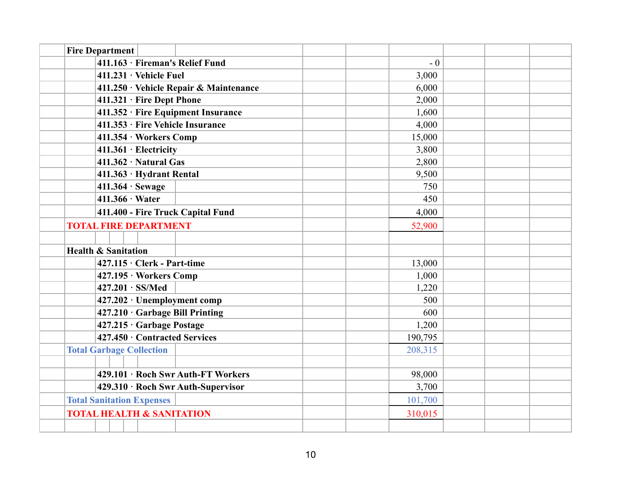| <b>Fire Department</b>                 |         |  |
|----------------------------------------|---------|--|
| 411.163 · Fireman's Relief Fund        | $-0$    |  |
| $411.231 \cdot$ Vehicle Fuel           | 3,000   |  |
| 411.250 · Vehicle Repair & Maintenance | 6,000   |  |
| 411.321 · Fire Dept Phone              | 2,000   |  |
| 411.352 · Fire Equipment Insurance     | 1,600   |  |
| 411.353 · Fire Vehicle Insurance       | 4,000   |  |
| 411.354 · Workers Comp                 | 15,000  |  |
| 411.361 · Electricity                  | 3,800   |  |
| $411.362 \cdot Natural$                | 2,800   |  |
| 411.363 · Hydrant Rental               | 9,500   |  |
| $411.364 \cdot$ Sewage                 | 750     |  |
| $411.366 \cdot Water$                  | 450     |  |
| 411.400 - Fire Truck Capital Fund      | 4,000   |  |
| <b>TOTAL FIRE DEPARTMENT</b>           | 52,900  |  |
|                                        |         |  |
| <b>Health &amp; Sanitation</b>         |         |  |
| $427.115 \cdot$ Clerk - Part-time      | 13,000  |  |
| 427.195 · Workers Comp                 | 1,000   |  |
| $427.201 \cdot SS/Med$                 | 1,220   |  |
| 427.202 · Unemployment comp            | 500     |  |
| 427.210 · Garbage Bill Printing        | 600     |  |
| 427.215 · Garbage Postage              | 1,200   |  |
| 427.450 · Contracted Services          | 190,795 |  |
| <b>Total Garbage Collection</b>        | 208,315 |  |
|                                        |         |  |
| 429.101 · Roch Swr Auth-FT Workers     | 98,000  |  |
| 429.310 · Roch Swr Auth-Supervisor     | 3,700   |  |
| <b>Total Sanitation Expenses</b>       | 101,700 |  |
|                                        |         |  |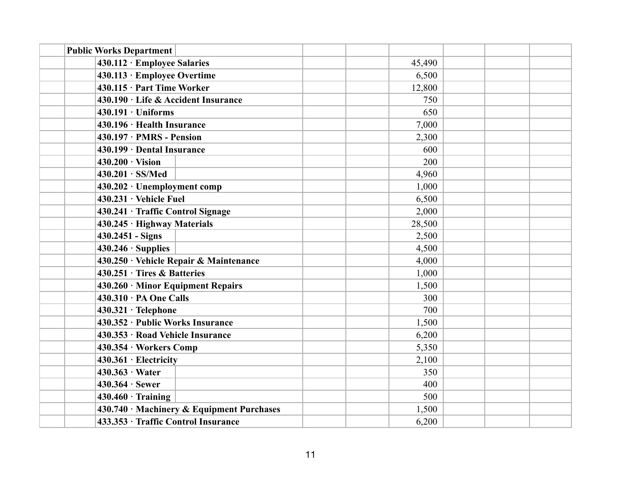| <b>Public Works Department</b>            |        |  |
|-------------------------------------------|--------|--|
| 430.112 · Employee Salaries               | 45,490 |  |
| 430.113 · Employee Overtime               | 6,500  |  |
| 430.115 · Part Time Worker                | 12,800 |  |
| 430.190 · Life & Accident Insurance       | 750    |  |
| $430.191 \cdot Uniforms$                  | 650    |  |
| 430.196 · Health Insurance                | 7,000  |  |
| $430.197 \cdot PMRS$ - Pension            | 2,300  |  |
| 430.199 · Dental Insurance                | 600    |  |
| $430.200 \cdot \text{Vision}$             | 200    |  |
| $430.201 \cdot SS/Med$                    | 4,960  |  |
| 430.202 · Unemployment comp               | 1,000  |  |
| $430.231 \cdot$ Vehicle Fuel              | 6,500  |  |
| 430.241 · Traffic Control Signage         | 2,000  |  |
| 430.245 · Highway Materials               | 28,500 |  |
| 430.2451 - Signs                          | 2,500  |  |
| $430.246 \cdot$ Supplies                  | 4,500  |  |
| 430.250 · Vehicle Repair & Maintenance    | 4,000  |  |
| $430.251 \cdot$ Tires & Batteries         | 1,000  |  |
| $430.260 \cdot$ Minor Equipment Repairs   | 1,500  |  |
| $430.310 \cdot PA$ One Calls              | 300    |  |
| $430.321 \cdot \text{Telephone}$          | 700    |  |
| 430.352 · Public Works Insurance          | 1,500  |  |
| 430.353 · Road Vehicle Insurance          | 6,200  |  |
| 430.354 · Workers Comp                    | 5,350  |  |
| $430.361 \cdot$ Electricity               | 2,100  |  |
| $430.363 \cdot Water$                     | 350    |  |
| $430.364 \cdot$ Sewer                     | 400    |  |
| $430.460 \cdot$ Training                  | 500    |  |
| 430.740 · Machinery & Equipment Purchases | 1,500  |  |
| 433.353 · Traffic Control Insurance       | 6,200  |  |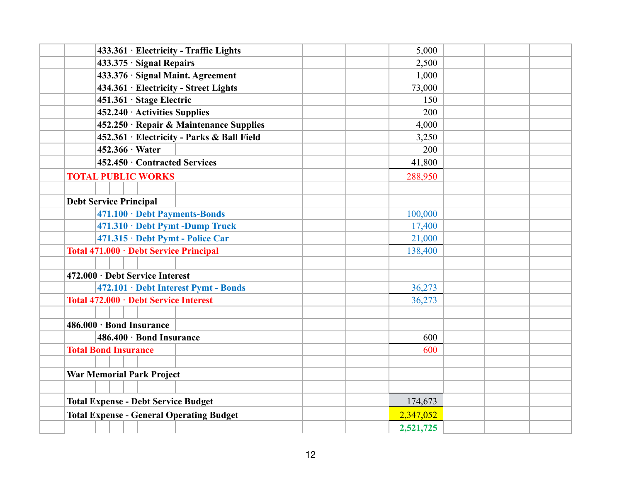| 5,000<br>2,500<br>1,000<br>73,000<br>150<br>200<br>4,000<br>3,250<br>200 |  |
|--------------------------------------------------------------------------|--|
|                                                                          |  |
|                                                                          |  |
|                                                                          |  |
|                                                                          |  |
|                                                                          |  |
|                                                                          |  |
|                                                                          |  |
|                                                                          |  |
|                                                                          |  |
| 41,800                                                                   |  |
| 288,950                                                                  |  |
|                                                                          |  |
|                                                                          |  |
| 100,000                                                                  |  |
| 17,400                                                                   |  |
| 21,000                                                                   |  |
| 138,400                                                                  |  |
|                                                                          |  |
|                                                                          |  |
| 36,273                                                                   |  |
| 36,273                                                                   |  |
|                                                                          |  |
|                                                                          |  |
| 600                                                                      |  |
| 600                                                                      |  |
|                                                                          |  |
|                                                                          |  |
|                                                                          |  |
| 174,673                                                                  |  |
| 2,347,052                                                                |  |
| 2,521,725                                                                |  |
|                                                                          |  |